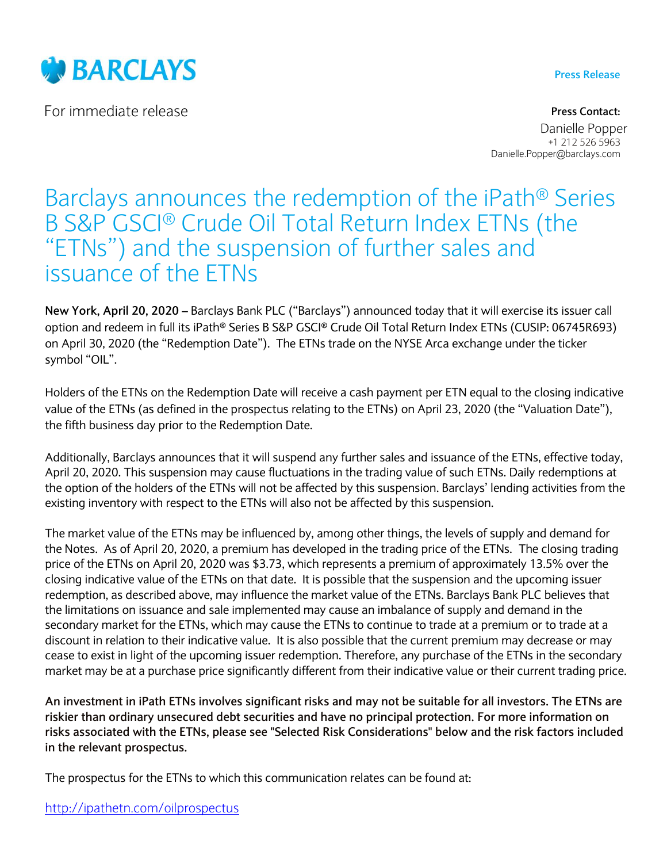

For immediate release **Press Contact:** 

#### **Press Release**

Danielle Popper +1 212 526 5963 Danielle.Popper@barclays.com

## Barclays announces the redemption of the iPath® Series B S&P GSCI® Crude Oil Total Return Index ETNs (the "ETNs") and the suspension of further sales and issuance of the ETNs

**New York, April 20, 2020 –** Barclays Bank PLC ("Barclays") announced today that it will exercise its issuer call option and redeem in full its iPath® Series B S&P GSCI® Crude Oil Total Return Index ETNs (CUSIP: 06745R693) on April 30, 2020 (the "Redemption Date"). The ETNs trade on the NYSE Arca exchange under the ticker symbol "OIL".

Holders of the ETNs on the Redemption Date will receive a cash payment per ETN equal to the closing indicative value of the ETNs (as defined in the prospectus relating to the ETNs) on April 23, 2020 (the "Valuation Date"), the fifth business day prior to the Redemption Date.

Additionally, Barclays announces that it will suspend any further sales and issuance of the ETNs, effective today, April 20, 2020. This suspension may cause fluctuations in the trading value of such ETNs. Daily redemptions at the option of the holders of the ETNs will not be affected by this suspension. Barclays' lending activities from the existing inventory with respect to the ETNs will also not be affected by this suspension.

The market value of the ETNs may be influenced by, among other things, the levels of supply and demand for the Notes. As of April 20, 2020, a premium has developed in the trading price of the ETNs. The closing trading price of the ETNs on April 20, 2020 was \$3.73, which represents a premium of approximately 13.5% over the closing indicative value of the ETNs on that date. It is possible that the suspension and the upcoming issuer redemption, as described above, may influence the market value of the ETNs. Barclays Bank PLC believes that the limitations on issuance and sale implemented may cause an imbalance of supply and demand in the secondary market for the ETNs, which may cause the ETNs to continue to trade at a premium or to trade at a discount in relation to their indicative value. It is also possible that the current premium may decrease or may cease to exist in light of the upcoming issuer redemption. Therefore, any purchase of the ETNs in the secondary market may be at a purchase price significantly different from their indicative value or their current trading price.

**An investment in iPath ETNs involves significant risks and may not be suitable for all investors. The ETNs are riskier than ordinary unsecured debt securities and have no principal protection. For more information on risks associated with the ETNs, please see "Selected Risk Considerations" below and the risk factors included in the relevant prospectus.** 

The prospectus for the ETNs to which this communication relates can be found at: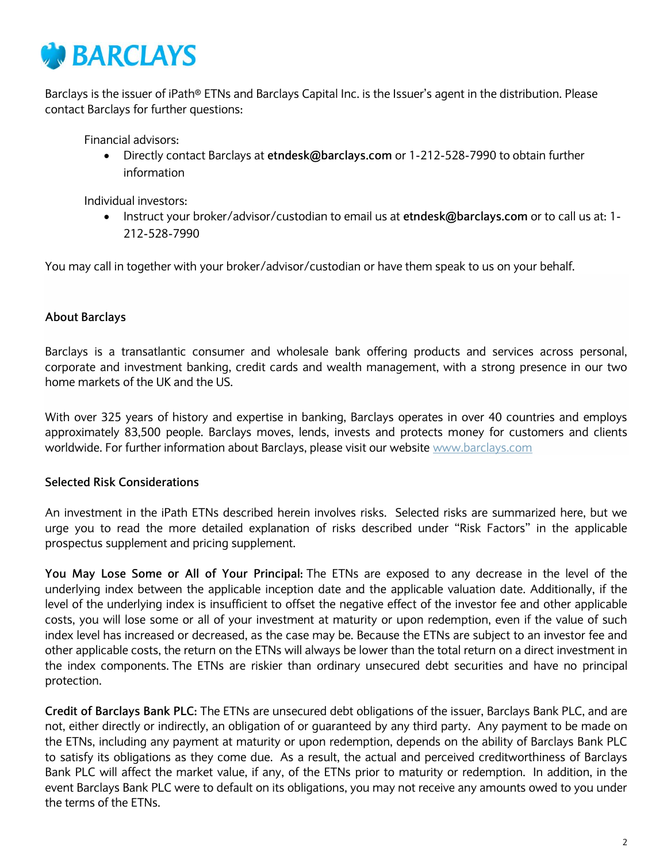

Barclays is the issuer of iPath® ETNs and Barclays Capital Inc. is the Issuer's agent in the distribution. Please contact Barclays for further questions:

Financial advisors:

 Directly contact Barclays at **[etndesk@barclays.com](mailto:etndesk@barclays.com)** or 1-212-528-7990 to obtain further information

Individual investors:

 Instruct your broker/advisor/custodian to email us at **[etndesk@barclays.com](mailto:etndesk@barclays.com)** or to call us at: 1- 212-528-7990

You may call in together with your broker/advisor/custodian or have them speak to us on your behalf.

### **About Barclays**

Barclays is a transatlantic consumer and wholesale bank offering products and services across personal, corporate and investment banking, credit cards and wealth management, with a strong presence in our two home markets of the UK and the US.

With over 325 years of history and expertise in banking, Barclays operates in over 40 countries and employs approximately 83,500 people. Barclays moves, lends, invests and protects money for customers and clients worldwide. For further information about Barclays, please visit our website [www.barclays.com](https://cts.businesswire.com/ct/CT?id=smartlink&url=http%3A%2F%2Fwww.barclays.com&esheet=51976470&newsitemid=20190429005820&lan=en-US&anchor=www.barclays.com&index=16&md5=97d1ae038b4a37e006ba01e3629ce67a)

### **Selected Risk Considerations**

An investment in the iPath ETNs described herein involves risks. Selected risks are summarized here, but we urge you to read the more detailed explanation of risks described under "Risk Factors" in the applicable prospectus supplement and pricing supplement.

**You May Lose Some or All of Your Principal:** The ETNs are exposed to any decrease in the level of the underlying index between the applicable inception date and the applicable valuation date. Additionally, if the level of the underlying index is insufficient to offset the negative effect of the investor fee and other applicable costs, you will lose some or all of your investment at maturity or upon redemption, even if the value of such index level has increased or decreased, as the case may be. Because the ETNs are subject to an investor fee and other applicable costs, the return on the ETNs will always be lower than the total return on a direct investment in the index components. The ETNs are riskier than ordinary unsecured debt securities and have no principal protection.

**Credit of Barclays Bank PLC:** The ETNs are unsecured debt obligations of the issuer, Barclays Bank PLC, and are not, either directly or indirectly, an obligation of or guaranteed by any third party. Any payment to be made on the ETNs, including any payment at maturity or upon redemption, depends on the ability of Barclays Bank PLC to satisfy its obligations as they come due. As a result, the actual and perceived creditworthiness of Barclays Bank PLC will affect the market value, if any, of the ETNs prior to maturity or redemption. In addition, in the event Barclays Bank PLC were to default on its obligations, you may not receive any amounts owed to you under the terms of the ETNs.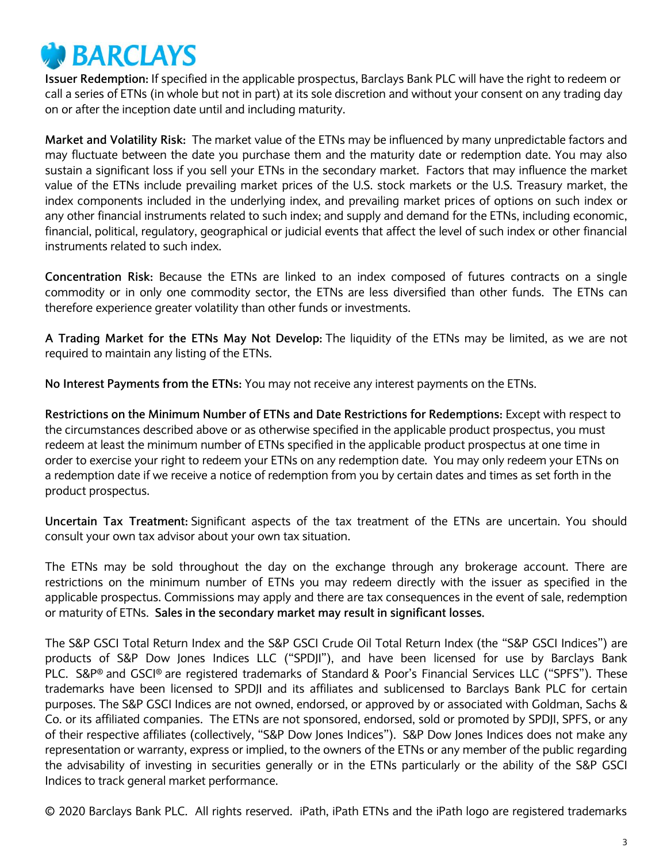# **BARCLAYS**

**Issuer Redemption:** If specified in the applicable prospectus, Barclays Bank PLC will have the right to redeem or call a series of ETNs (in whole but not in part) at its sole discretion and without your consent on any trading day on or after the inception date until and including maturity.

**Market and Volatility Risk:** The market value of the ETNs may be influenced by many unpredictable factors and may fluctuate between the date you purchase them and the maturity date or redemption date. You may also sustain a significant loss if you sell your ETNs in the secondary market. Factors that may influence the market value of the ETNs include prevailing market prices of the U.S. stock markets or the U.S. Treasury market, the index components included in the underlying index, and prevailing market prices of options on such index or any other financial instruments related to such index; and supply and demand for the ETNs, including economic, financial, political, regulatory, geographical or judicial events that affect the level of such index or other financial instruments related to such index.

**Concentration Risk:** Because the ETNs are linked to an index composed of futures contracts on a single commodity or in only one commodity sector, the ETNs are less diversified than other funds. The ETNs can therefore experience greater volatility than other funds or investments.

**A Trading Market for the ETNs May Not Develop:** The liquidity of the ETNs may be limited, as we are not required to maintain any listing of the ETNs.

**No Interest Payments from the ETNs:** You may not receive any interest payments on the ETNs.

**Restrictions on the Minimum Number of ETNs and Date Restrictions for Redemptions:** Except with respect to the circumstances described above or as otherwise specified in the applicable product prospectus, you must redeem at least the minimum number of ETNs specified in the applicable product prospectus at one time in order to exercise your right to redeem your ETNs on any redemption date. You may only redeem your ETNs on a redemption date if we receive a notice of redemption from you by certain dates and times as set forth in the product prospectus.

**Uncertain Tax Treatment:** Significant aspects of the tax treatment of the ETNs are uncertain. You should consult your own tax advisor about your own tax situation.

The ETNs may be sold throughout the day on the exchange through any brokerage account. There are restrictions on the minimum number of ETNs you may redeem directly with the issuer as specified in the applicable prospectus. Commissions may apply and there are tax consequences in the event of sale, redemption or maturity of ETNs. **Sales in the secondary market may result in significant losses.**

The S&P GSCI Total Return Index and the S&P GSCI Crude Oil Total Return Index (the "S&P GSCI Indices") are products of S&P Dow Jones Indices LLC ("SPDJI"), and have been licensed for use by Barclays Bank PLC. S&P<sup>®</sup> and GSCI<sup>®</sup> are registered trademarks of Standard & Poor's Financial Services LLC ("SPFS"). These trademarks have been licensed to SPDJI and its affiliates and sublicensed to Barclays Bank PLC for certain purposes. The S&P GSCI Indices are not owned, endorsed, or approved by or associated with Goldman, Sachs & Co. or its affiliated companies. The ETNs are not sponsored, endorsed, sold or promoted by SPDJI, SPFS, or any of their respective affiliates (collectively, "S&P Dow Jones Indices"). S&P Dow Jones Indices does not make any representation or warranty, express or implied, to the owners of the ETNs or any member of the public regarding the advisability of investing in securities generally or in the ETNs particularly or the ability of the S&P GSCI Indices to track general market performance.

© 2020 Barclays Bank PLC. All rights reserved. iPath, iPath ETNs and the iPath logo are registered trademarks